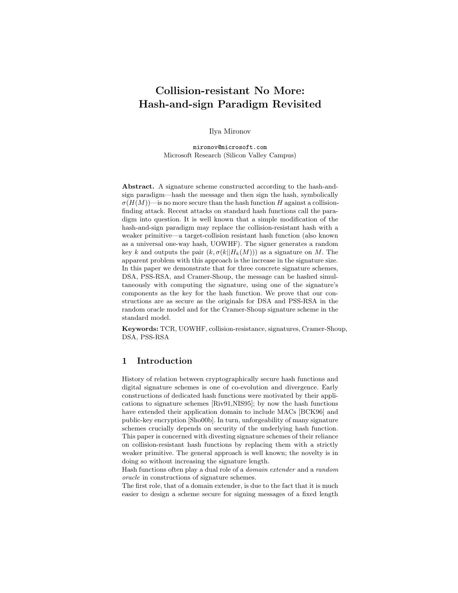# Collision-resistant No More: Hash-and-sign Paradigm Revisited

Ilya Mironov

mironov@microsoft.com Microsoft Research (Silicon Valley Campus)

Abstract. A signature scheme constructed according to the hash-andsign paradigm—hash the message and then sign the hash, symbolically  $\sigma(H(M))$ —is no more secure than the hash function H against a collisionfinding attack. Recent attacks on standard hash functions call the paradigm into question. It is well known that a simple modification of the hash-and-sign paradigm may replace the collision-resistant hash with a weaker primitive—a target-collision resistant hash function (also known as a universal one-way hash, UOWHF). The signer generates a random key k and outputs the pair  $(k, \sigma(k||H_k(M)))$  as a signature on M. The apparent problem with this approach is the increase in the signature size. In this paper we demonstrate that for three concrete signature schemes, DSA, PSS-RSA, and Cramer-Shoup, the message can be hashed simultaneously with computing the signature, using one of the signature's components as the key for the hash function. We prove that our constructions are as secure as the originals for DSA and PSS-RSA in the random oracle model and for the Cramer-Shoup signature scheme in the standard model.

Keywords: TCR, UOWHF, collision-resistance, signatures, Cramer-Shoup, DSA, PSS-RSA

### 1 Introduction

History of relation between cryptographically secure hash functions and digital signature schemes is one of co-evolution and divergence. Early constructions of dedicated hash functions were motivated by their applications to signature schemes [Riv91,NIS95]; by now the hash functions have extended their application domain to include MACs [BCK96] and public-key encryption [Sho00b]. In turn, unforgeability of many signature schemes crucially depends on security of the underlying hash function. This paper is concerned with divesting signature schemes of their reliance on collision-resistant hash functions by replacing them with a strictly weaker primitive. The general approach is well known; the novelty is in doing so without increasing the signature length.

Hash functions often play a dual role of a domain extender and a random oracle in constructions of signature schemes.

The first role, that of a domain extender, is due to the fact that it is much easier to design a scheme secure for signing messages of a fixed length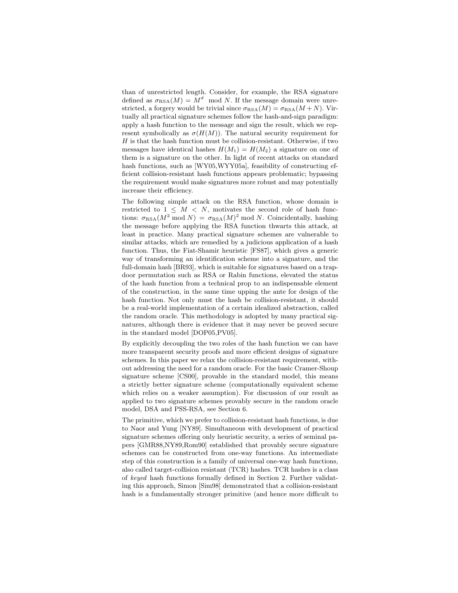than of unrestricted length. Consider, for example, the RSA signature defined as  $\sigma_{\text{RSA}}(M) = M^d \mod N$ . If the message domain were unrestricted, a forgery would be trivial since  $\sigma_{\text{RSA}}(M) = \sigma_{\text{RSA}}(M+N)$ . Virtually all practical signature schemes follow the hash-and-sign paradigm: apply a hash function to the message and sign the result, which we represent symbolically as  $\sigma(H(M))$ . The natural security requirement for  $H$  is that the hash function must be collision-resistant. Otherwise, if two messages have identical hashes  $H(M_1) = H(M_2)$  a signature on one of them is a signature on the other. In light of recent attacks on standard hash functions, such as [WY05,WYY05a], feasibility of constructing efficient collision-resistant hash functions appears problematic; bypassing the requirement would make signatures more robust and may potentially increase their efficiency.

The following simple attack on the RSA function, whose domain is restricted to  $1 \leq M \leq N$ , motivates the second role of hash functions:  $\sigma_{\text{RSA}}(M^2 \text{ mod } N) = \sigma_{\text{RSA}}(M)^2 \text{ mod } N$ . Coincidentally, hashing the message before applying the RSA function thwarts this attack, at least in practice. Many practical signature schemes are vulnerable to similar attacks, which are remedied by a judicious application of a hash function. Thus, the Fiat-Shamir heuristic [FS87], which gives a generic way of transforming an identification scheme into a signature, and the full-domain hash [BR93], which is suitable for signatures based on a trapdoor permutation such as RSA or Rabin functions, elevated the status of the hash function from a technical prop to an indispensable element of the construction, in the same time upping the ante for design of the hash function. Not only must the hash be collision-resistant, it should be a real-world implementation of a certain idealized abstraction, called the random oracle. This methodology is adopted by many practical signatures, although there is evidence that it may never be proved secure in the standard model [DOP05,PV05].

By explicitly decoupling the two roles of the hash function we can have more transparent security proofs and more efficient designs of signature schemes. In this paper we relax the collision-resistant requirement, without addressing the need for a random oracle. For the basic Cramer-Shoup signature scheme [CS00], provable in the standard model, this means a strictly better signature scheme (computationally equivalent scheme which relies on a weaker assumption). For discussion of our result as applied to two signature schemes provably secure in the random oracle model, DSA and PSS-RSA, see Section 6.

The primitive, which we prefer to collision-resistant hash functions, is due to Naor and Yung [NY89]. Simultaneous with development of practical signature schemes offering only heuristic security, a series of seminal papers [GMR88,NY89,Rom90] established that provably secure signature schemes can be constructed from one-way functions. An intermediate step of this construction is a family of universal one-way hash functions, also called target-collision resistant (TCR) hashes. TCR hashes is a class of keyed hash functions formally defined in Section 2. Further validating this approach, Simon [Sim98] demonstrated that a collision-resistant hash is a fundamentally stronger primitive (and hence more difficult to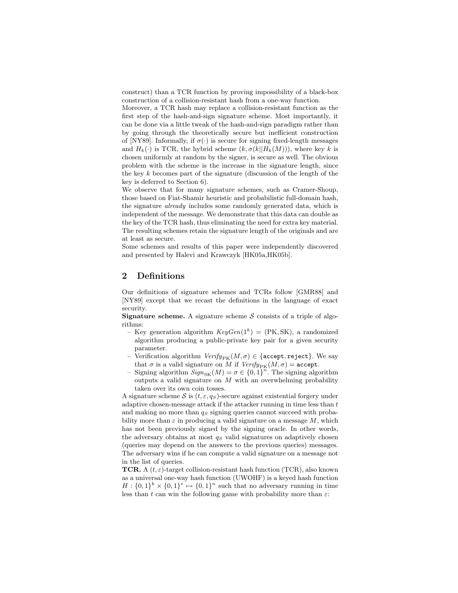construct) than a TCR function by proving impossibility of a black-box construction of a collision-resistant hash from a one-way function.

Moreover, a TCR hash may replace a collision-resistant function as the first step of the hash-and-sign signature scheme. Most importantly, it can be done via a little tweak of the hash-and-sign paradigm rather than by going through the theoretically secure but inefficient construction of [NY89]. Informally, if  $\sigma(\cdot)$  is secure for signing fixed-length messages and  $H_k(\cdot)$  is TCR, the hybrid scheme  $(k, \sigma(k||H_k(M)))$ , where key k is chosen uniformly at random by the signer, is secure as well. The obvious problem with the scheme is the increase in the signature length, since the key  $k$  becomes part of the signature (discussion of the length of the key is deferred to Section 6).

We observe that for many signature schemes, such as Cramer-Shoup, those based on Fiat-Shamir heuristic and probabilistic full-domain hash, the signature already includes some randomly generated data, which is independent of the message. We demonstrate that this data can double as the key of the TCR hash, thus eliminating the need for extra key material. The resulting schemes retain the signature length of the originals and are at least as secure.

Some schemes and results of this paper were independently discovered and presented by Halevi and Krawczyk [HK05a,HK05b].

# 2 Definitions

Our definitions of signature schemes and TCRs follow [GMR88] and [NY89] except that we recast the definitions in the language of exact security.

**Signature scheme.** A signature scheme  $S$  consists of a triple of algorithms:

- Key generation algorithm  $KeyGen(1^k) = (PK, SK)$ , a randomized algorithm producing a public-private key pair for a given security parameter.
- Verification algorithm  $Verify_{\rm PK}(M, \sigma) \in \{\text{accept}, \text{reject}\}\.$  We say that  $\sigma$  is a valid signature on M if  $Verify_{\rm PK}(M,\sigma) = {\tt accept}.$
- Signing algorithm  $Sign_{SK}(M) = \sigma \in \{0,1\}^n$ . The signing algorithm outputs a valid signature on  $M$  with an overwhelming probability taken over its own coin tosses.

A signature scheme S is  $(t, \varepsilon, q_S)$ -secure against existential forgery under adaptive chosen-message attack if the attacker running in time less than  $t$ and making no more than  $q<sub>S</sub>$  signing queries cannot succeed with probability more than  $\varepsilon$  in producing a valid signature on a message M, which has not been previously signed by the signing oracle. In other words, the adversary obtains at most  $q_S$  valid signatures on adaptively chosen (queries may depend on the answers to the previous queries) messages. The adversary wins if he can compute a valid signature on a message not in the list of queries.

**TCR.** A  $(t, \varepsilon)$ -target collision-resistant hash function (TCR), also known as a universal one-way hash function (UWOHF) is a keyed hash function  $H: \{0,1\}^k \times \{0,1\}^* \mapsto \{0,1\}^n$  such that no adversary running in time less than t can win the following game with probability more than  $\varepsilon$ .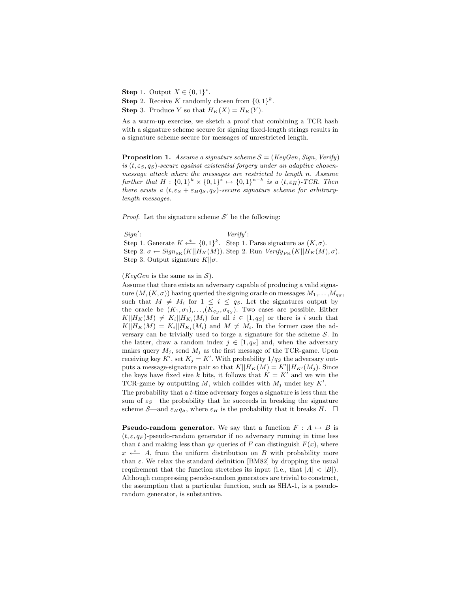Step 1. Output  $X \in \{0,1\}^*$ .

**Step 2.** Receive K randomly chosen from  $\{0,1\}^k$ .

**Step** 3. Produce Y so that  $H_K(X) = H_K(Y)$ .

As a warm-up exercise, we sketch a proof that combining a TCR hash with a signature scheme secure for signing fixed-length strings results in a signature scheme secure for messages of unrestricted length.

**Proposition 1.** Assume a signature scheme  $S = (KeyGen, Sign, Verify)$ is  $(t, \varepsilon_S, q_S)$ -secure against existential forgery under an adaptive chosenmessage attack where the messages are restricted to length n. Assume further that  $H: \{0,1\}^k \times \{0,1\}^* \mapsto \{0,1\}^{n-k}$  is a  $(t, \varepsilon_H)$ -TCR. Then there exists a  $(t, \varepsilon_S + \varepsilon_H q_S, q_S)$ -secure signature scheme for arbitrarylength messages.

*Proof.* Let the signature scheme  $S'$  be the following:

 $Sign'$ :  $: \qquad \qquad \textit{Verify}' :$ Step 1. Generate  $K \stackrel{\varepsilon}{\longleftarrow} \{0,1\}^k$ . Step 1. Parse signature as  $(K,\sigma)$ . Step 2.  $\sigma \leftarrow Sign_{SK}(K||H_K(M))$ . Step 2. Run  $Verify_{PK}(K||H_K(M), \sigma)$ . Step 3. Output signature  $K||\sigma$ .

(*KeyGen* is the same as in  $S$ ).

Assume that there exists an adversary capable of producing a valid signature  $(M, (K, \sigma))$  having queried the signing oracle on messages  $M_1, \ldots, M_{q_S},$ such that  $M \neq M_i$  for  $1 \leq i \leq q_s$ . Let the signatures output by the oracle be  $(K_1, \sigma_1), \ldots, (K_{q_S}, \sigma_{q_S})$ . Two cases are possible. Either  $K||H_K(M) \neq K_i||H_{K_i}(M_i)$  for all  $i \in [1, q_S]$  or there is i such that  $K||H_K(M) = K_i||H_{K_i}(M_i)$  and  $M \neq M_i$ . In the former case the adversary can be trivially used to forge a signature for the scheme  $S$ . In the latter, draw a random index  $j \in [1, q_S]$  and, when the adversary makes query  $M_j$ , send  $M_j$  as the first message of the TCR-game. Upon receiving key  $K'$ , set  $K_j = K'$ . With probability  $1/q_s$  the adversary outputs a message-signature pair so that  $K||H_K(M) = K'||H_{K'}(M_j)$ . Since the keys have fixed size k bits, it follows that  $K = K'$  and we win the TCR-game by outputting  $M$ , which collides with  $M_j$  under key  $K'$ .

The probability that a t-time adversary forges a signature is less than the sum of  $\varepsilon_S$ —the probability that he succeeds in breaking the signature scheme S—and  $\varepsilon_H q_s$ , where  $\varepsilon_H$  is the probability that it breaks H.  $\Box$ 

**Pseudo-random generator.** We say that a function  $F : A \mapsto B$  is  $(t, \varepsilon, q_F)$ -pseudo-random generator if no adversary running in time less than t and making less than  $q_F$  queries of F can distinguish  $F(x)$ , where  $x \stackrel{*}{\longleftarrow} A$ , from the uniform distribution on B with probability more than  $\varepsilon$ . We relax the standard definition [BM82] by dropping the usual requirement that the function stretches its input (i.e., that  $|A| < |B|$ ). Although compressing pseudo-random generators are trivial to construct, the assumption that a particular function, such as SHA-1, is a pseudorandom generator, is substantive.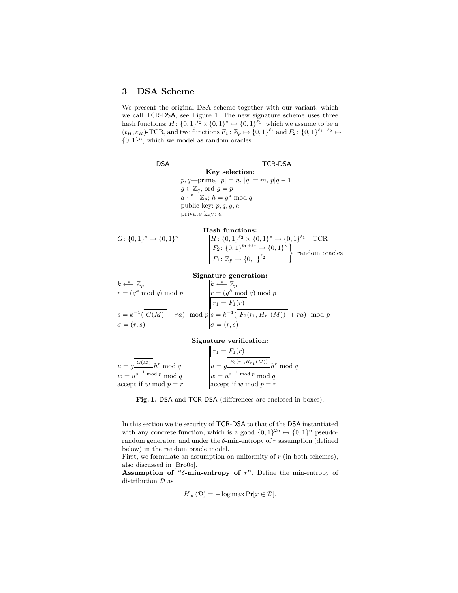### 3 DSA Scheme

We present the original DSA scheme together with our variant, which we call TCR-DSA, see Figure 1. The new signature scheme uses three hash functions:  $H: \{0,1\}^{\ell_2} \times \{0,1\}^* \mapsto \{0,1\}^{\ell_1}$ , which we assume to be a  $(t_H, \varepsilon_H)$ -TCR, and two functions  $F_1: \mathbb{Z}_p \mapsto \{0,1\}^{\ell_2}$  and  $F_2: \{0,1\}^{\ell_1+\ell_2} \mapsto$  $\{0,1\}^n$ , which we model as random oracles.

### DSA TCR-DSA

Key selection:  $p, q$ —prime,  $|p| = n, |q| = m, p|q - 1$  $g \in \mathbb{Z}_q$ , ord  $g = p$  $a \stackrel{\ast}{\longleftarrow} \mathbb{Z}_p$ ;  $h = g^a \bmod q$ public key:  $p, q, g, h$ private key: a

#### Hash functions:  $G: \{0,1\}^* \mapsto \{0,1\}$ <sup>n</sup>  $|H: \{0,1\}^{\ell_2} \times \{0,1\}^* \mapsto \{0,1\}^{\ell_1}$ -TCR  $F_2$ :  $\{0,1\}^{\ell_1+\ell_2} \mapsto \{0,1\}^n$  $F_1: \mathbb{Z}_p \mapsto \{0,1\}^{\ell_2}$ ) random oracles

**Signature generation:**  
\n
$$
k \xleftarrow{\epsilon} \mathbb{Z}_p
$$
\n
$$
r = (g^k \bmod q) \bmod p
$$
\n
$$
s = k^{-1}(\boxed{G(M)} + ra) \bmod p
$$
\n
$$
\sigma = (r, s)
$$
\n**Example 2.1**  
\n**Example 3.1**  
\n
$$
s = k^{-1}(\boxed{G(M)} + ra) \bmod p
$$
\n
$$
\sigma = (r, s)
$$
\n**Example 4.1**  
\n
$$
r = (g^k \bmod q) \bmod p
$$
\n
$$
s = k^{-1}(\boxed{F_2(r_1, H_{r_1}(M))} + ra) \bmod p
$$

### Signature verification:

|                                  | $   r_1 = F_1(r)   $                            |
|----------------------------------|-------------------------------------------------|
| $u=q\frac{ G(M) }{h^r \bmod q}$  | $u = q \frac{F_2(r_1, H_{r_1}(M))}{h^r \mod q}$ |
| $w = u^{s^{-1} \bmod p} \bmod q$ | $w = u^{s^{-1} \bmod p} \mod q$                 |
| accept if w mod $p = r$          | accept if w mod $p = r$                         |

Fig. 1. DSA and TCR-DSA (differences are enclosed in boxes).

In this section we tie security of TCR-DSA to that of the DSA instantiated with any concrete function, which is a good  $\{0,1\}^{2n} \mapsto \{0,1\}^n$  pseudorandom generator, and under the  $\delta$ -min-entropy of r assumption (defined below) in the random oracle model.

First, we formulate an assumption on uniformity of  $r$  (in both schemes), also discussed in [Bro05].

Assumption of " $\delta$ -min-entropy of r". Define the min-entropy of distribution  $D$  as

$$
H_{\infty}(\mathcal{D}) = -\log \max \Pr[x \in \mathcal{D}].
$$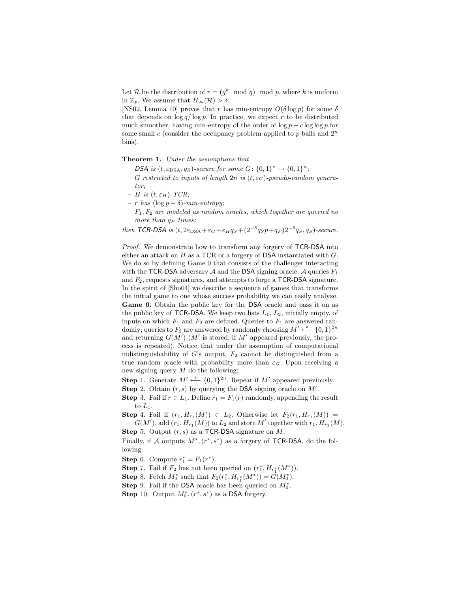Let R be the distribution of  $r = (g^k \mod q) \mod p$ , where k is uniform in  $\mathbb{Z}_p$ . We assume that  $H_{\infty}(\mathcal{R}) > \delta$ .

[NS02, Lemma 10] proves that r has min-entropy  $O(\delta \log p)$  for some  $\delta$ that depends on  $\log q / \log p$ . In practice, we expect r to be distributed much smoother, having min-entropy of the order of  $\log p - c \log \log p$  for some small c (consider the occupancy problem applied to p balls and  $2^n$ ) bins).

Theorem 1. Under the assumptions that

- DSA is  $(t, \varepsilon_{\text{DSA}}, q_s)$ -secure for some  $G: \{0,1\}^* \mapsto \{0,1\}^n$ ;
- G restricted to inputs of length  $2n$  is  $(t, \varepsilon_G)$ -pseudo-random generator;
- H is  $(t, \varepsilon_H)$ -TCR;
- r has (log p − δ)-min-entropy;
- $F_1, F_2$  are modeled as random oracles, which together are queried no more than  $q_F$  times;

then TCR-DSA is  $(t, 2\varepsilon_{\text{DSA}} + \varepsilon_G + \varepsilon_H q_S + (2^{-\delta} q_S p + q_F) 2^{-\delta} q_S, q_S)$ -secure.

Proof. We demonstrate how to transform any forgery of TCR-DSA into either an attack on  $H$  as a TCR or a forgery of **DSA** instantiated with  $G$ . We do so by defining Game 0 that consists of the challenger interacting with the TCR-DSA adversary  $A$  and the DSA signing oracle. A queries  $F_1$ and  $F_2$ , requests signatures, and attempts to forge a  $TCR-DSA$  signature. In the spirit of [Sho04] we describe a sequence of games that transforms the initial game to one whose success probability we can easily analyze. Game 0. Obtain the public key for the DSA oracle and pass it on as the public key of TCR-DSA. We keep two lists  $L_1, L_2$ , initially empty, of inputs on which  $F_1$  and  $F_2$  are defined. Queries to  $F_1$  are answered randomly; queries to  $F_2$  are answered by randomly choosing  $M' \stackrel{\varepsilon}{\longleftarrow} \{0,1\}^{2n}$ and returning  $G(M')$  (M' is stored; if M' appeared previously, the process is repeated). Notice that under the assumption of computational indistinguishability of  $G$ 's output,  $F_2$  cannot be distinguished from a true random oracle with probability more than  $\varepsilon_G$ . Upon receiving a new signing query  $M$  do the following:

**Step** 1. Generate  $M' \stackrel{\varepsilon}{\longleftarrow} \{0,1\}^{2n}$ . Repeat if  $M'$  appeared previously.

Step 2. Obtain  $(r, s)$  by querying the DSA signing oracle on  $M'$ .

**Step** 3. Fail if  $r \in L_1$ . Define  $r_1 = F_1(r)$  randomly, appending the result to  $L_1$ .

**Step** 4. Fail if  $(r_1, H_{r_1}(M)) \in L_2$ . Otherwise let  $F_2(r_1, H_{r_1}(M)) =$  $G(M')$ , add  $(r_1, H_{r_1}(M))$  to  $L_2$  and store  $M'$  together with  $r_1, H_{r_1}(M)$ .

Step 5. Output  $(r, s)$  as a TCR-DSA signature on  $M$ .

Finally, if A outputs  $M^*$ ,  $(r^*, s^*)$  as a forgery of TCR-DSA, do the following:

**Step** 6. Compute  $r_1^* = F_1(r^*)$ .

**Step** 7. Fail if  $F_2$  has not been queried on  $(r_1^*, H_{r_1^*}(M^*))$ .

**Step** 8. Fetch  $M_0^*$  such that  $F_2(r_1^*, H_{r_1^*}(M^*)) = \hat{G}(M_0^*)$ .

Step 9. Fail if the DSA oracle has been queried on  $M_0^*$ .

Step 10. Output  $M_0^*$ ,  $(r^*, s^*)$  as a DSA forgery.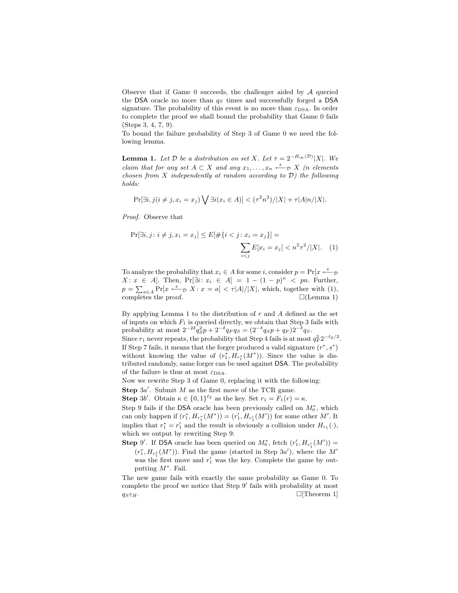Observe that if Game 0 succeeds, the challenger aided by  $A$  queried the DSA oracle no more than  $q<sub>S</sub>$  times and successfully forged a DSA signature. The probability of this event is no more than  $\varepsilon_{\text{DSA}}$ . In order to complete the proof we shall bound the probability that Game 0 fails (Steps 3, 4, 7, 9).

To bound the failure probability of Step 3 of Game 0 we need the following lemma.

**Lemma 1.** Let  $\mathcal{D}$  be a distribution on set X. Let  $\tau = 2^{-H_{\infty}(\mathcal{D})} |X|$ . We claim that for any set  $A \subset X$  and any  $x_1, \ldots, x_n \stackrel{\epsilon}{\longleftarrow} \mathcal{D} X$  (n elements chosen from X independently at random according to  $\mathcal{D}$ ) the following holds:

$$
\Pr[\exists i, j (i \neq j, x_i = x_j) \bigvee \exists i (x_i \in A)] < (\tau^2 n^2) / |X| + \tau |A| n / |X|.
$$

Proof. Observe that

$$
\Pr[\exists i, j \colon i \neq j, x_i = x_j] \le E[\# \{ i < j \colon x_i = x_j \}] = \sum_{i < j} E[x_i = x_j] < n^2 \tau^2 / |X|. \tag{1}
$$

To analyze the probability that  $x_i \in A$  for some i, consider  $p = Pr[x \stackrel{i}{\longleftarrow} p]$  $X: x \in A$ . Then, Pr $[\exists i: x_i \in A] = 1 - (1 - p)^n$  < pn. Further,  $p = \sum_{a \in A} Pr[x \stackrel{e}{\longleftarrow} \mathcal{D} X : x = a] < \tau |A| / |X|$ , which, together with (1), completes the proof.  $\square$  (Lemma 1)

By applying Lemma 1 to the distribution of  $r$  and  $A$  defined as the set of inputs on which  $F_1$  is queried directly, we obtain that Step 3 fails with probability at most  $2^{-2\delta}q_S^2p + 2^{-\delta}q_Fq_S = (2^{-\delta}q_Sp + q_F)2^{-\delta}q_S$ .

Since  $r_1$  never repeats, the probability that Step 4 fails is at most  $q_F^2 2^{-\ell_2/2}$ . If Step 7 fails, it means that the forger produced a valid signature  $(r^*, s^*)$ without knowing the value of  $(r_1^*, H_{r_1^*}(M^*))$ . Since the value is distributed randomly, same forger can be used against DSA. The probability of the failure is thus at most  $\varepsilon_{\text{DSA}}$ .

Now we rewrite Step 3 of Game 0, replacing it with the following:

Step  $3a'$ . Submit M as the first move of the TCR game.

**Step** 3b'. Obtain  $\kappa \in \{0,1\}^{\ell_2}$  as the key. Set  $r_1 = F_1(r) = \kappa$ .

Step 9 fails if the DSA oracle has been previously called on  $M_0^*$ , which can only happen if  $(r_1^*, H_{r_1^*}(M^*)) = (r_1', H_{r_1'}(M'))$  for some other  $M'$ . It implies that  $r_1^* = r_1'$  and the result is obviously a collision under  $H_{r_1}(\cdot)$ , which we output by rewriting Step 9:

- **Step** 9'. If DSA oracle has been queried on  $M_0^*$ , fetch  $(r'_1, H_{r'_1}(M'))$  =
	- $(r_1^*, H_{r_1^*}(M^*))$ . Find the game (started in Step 3a'), where the  $M'$ was the first move and  $r'_1$  was the key. Complete the game by outputting  $M^*$ . Fail.

The new game fails with exactly the same probability as Game 0. To complete the proof we notice that Step  $9'$  fails with probability at most  $q_S \varepsilon_H$ .  $\Box$  [Theorem 1]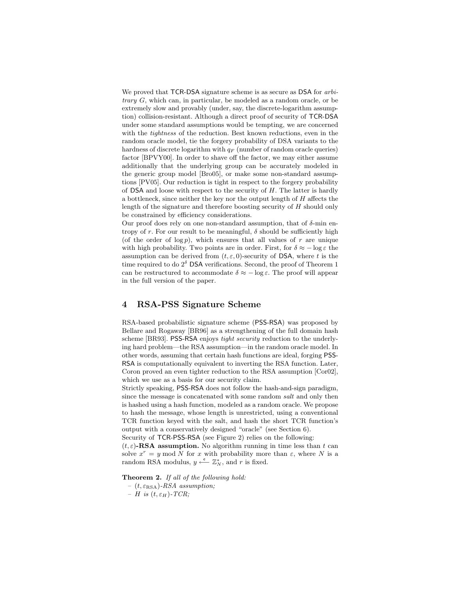We proved that **TCR-DSA** signature scheme is as secure as **DSA** for *arbi*trary G, which can, in particular, be modeled as a random oracle, or be extremely slow and provably (under, say, the discrete-logarithm assumption) collision-resistant. Although a direct proof of security of TCR-DSA under some standard assumptions would be tempting, we are concerned with the *tightness* of the reduction. Best known reductions, even in the random oracle model, tie the forgery probability of DSA variants to the hardness of discrete logarithm with  $q_F$  (number of random oracle queries) factor [BPVY00]. In order to shave off the factor, we may either assume additionally that the underlying group can be accurately modeled in the generic group model [Bro05], or make some non-standard assumptions [PV05]. Our reduction is tight in respect to the forgery probability of DSA and loose with respect to the security of  $H$ . The latter is hardly a bottleneck, since neither the key nor the output length of H affects the length of the signature and therefore boosting security of H should only be constrained by efficiency considerations.

Our proof does rely on one non-standard assumption, that of  $\delta$ -min entropy of r. For our result to be meaningful,  $\delta$  should be sufficiently high (of the order of  $log p$ ), which ensures that all values of r are unique with high probability. Two points are in order. First, for  $\delta \approx -\log \varepsilon$  the assumption can be derived from  $(t, \varepsilon, 0)$ -security of DSA, where t is the time required to do  $2^{\delta}$  DSA verifications. Second, the proof of Theorem 1 can be restructured to accommodate  $\delta \approx -\log \varepsilon$ . The proof will appear in the full version of the paper.

# 4 RSA-PSS Signature Scheme

RSA-based probabilistic signature scheme (PSS-RSA) was proposed by Bellare and Rogaway [BR96] as a strengthening of the full domain hash scheme [BR93]. PSS-RSA enjoys *tight security* reduction to the underlying hard problem—the RSA assumption—in the random oracle model. In other words, assuming that certain hash functions are ideal, forging PSS-RSA is computationally equivalent to inverting the RSA function. Later, Coron proved an even tighter reduction to the RSA assumption [Cor02], which we use as a basis for our security claim.

Strictly speaking, PSS-RSA does not follow the hash-and-sign paradigm, since the message is concatenated with some random salt and only then is hashed using a hash function, modeled as a random oracle. We propose to hash the message, whose length is unrestricted, using a conventional TCR function keyed with the salt, and hash the short TCR function's output with a conservatively designed "oracle" (see Section 6).

Security of TCR-PSS-RSA (see Figure 2) relies on the following:

 $(t, \varepsilon)$ -RSA assumption. No algorithm running in time less than t can solve  $x^r = y \mod N$  for x with probability more than  $\varepsilon$ , where N is a random RSA modulus,  $y \stackrel{\epsilon}{\longleftarrow} \mathbb{Z}_N^*$ , and r is fixed.

Theorem 2. If all of the following hold:

 $-$  (t,  $\varepsilon_{\text{RSA}}$ )-RSA assumption;

 $- H$  is  $(t, \varepsilon_H)$ -TCR;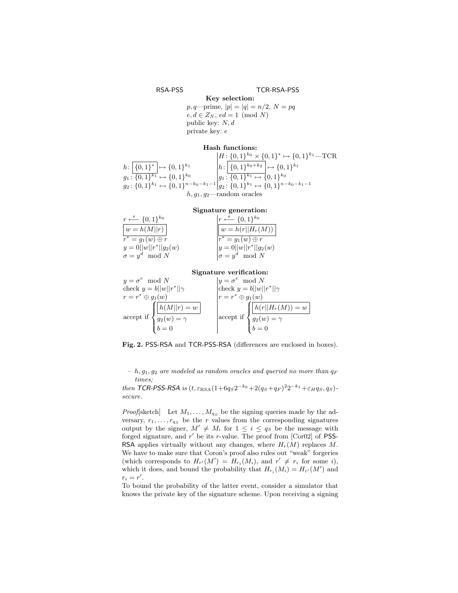# RSA-PSS TCR-RSA-PSS Key selection:

 $p, q$ —prime,  $|p| = |q| = n/2, N = pq$  $e, d \in Z_N$ ,  $ed = 1 \pmod{N}$ public key:  $N, d$ private key: e

Hash functions:  $H: \{0,1\}^{k_0} \times \{0,1\}^* \mapsto \{0,1\}^{k_1}$ —TCR  $h: |\{0,1\}^*| \mapsto \{0,1\}^{k_1}$   $|h: |\{0,1\}^{k_0+k_2}| \mapsto \{0,1\}^{k_1}$  $g_1: \overline{\{0,1\}^{k_1}} \mapsto \{0,1\}^{k_0}$   $g_1: \overline{\{0,1\}^{k_1} \mapsto \{0,1\}^{k_0}}$  $g_2 \colon \{0,1\}^{k_1} \mapsto \{0,1\}^{n-k_0-k_1-1} \big| g_2 \colon \{0,1\}^{k_1} \mapsto \{0,1\}^{n-k_0-k_1-1}$  $h, g_1, g_2$ —random oracles



| $r \stackrel{e}{\longleftarrow} \{0,1\}^{k_0}$ | $r \stackrel{\epsilon}{\longleftarrow} \{0,1\}^{k_0}$ |
|------------------------------------------------|-------------------------------------------------------|
| $w = h(M  r)$                                  | $   w = h(r  H_r(M))$                                 |
| $r^* = g_1(w) \oplus r$                        | $\overline{r^* = g_1(w) \oplus r}$                    |
| $y=0  w  r^*  g_2(w)$                          | $ y=0  w  r^*  g_2(w)$                                |
| $\sigma = y^d \mod N$                          | $ \sigma = y^d \mod N$                                |



Fig. 2. PSS-RSA and TCR-PSS-RSA (differences are enclosed in boxes).

 $- h, g_1, g_2$  are modeled as random oracles and queried no more than  $q_F$ times;

then TCR-PSS-RSA is  $(t, \varepsilon_{\text{RSA}}(1+6q_S 2^{-k_0}+2(q_S+q_F)^2 2^{-k_1}+\varepsilon_H q_S, q_S)$ secure.

*Proof*[sketch] Let  $M_1, \ldots, M_{q_S}$  be the signing queries made by the adversary,  $r_1, \ldots, r_{qS}$  be the r values from the corresponding signatures output by the signer,  $M' \neq M_i$  for  $1 \leq i \leq q_s$  be the message with forged signature, and  $r'$  be its r-value. The proof from [Cor02] of PSS-RSA applies virtually without any changes, where  $H_r(M)$  replaces M. We have to make sure that Coron's proof also rules out "weak" forgeries (which corresponds to  $H_{r'}(M') = H_{r_i}(M_i)$ , and  $r' \neq r_i$  for some i), which it does, and bound the probability that  $H_{r_i}(M_i) = H_{r'}(M')$  and  $r_i = r'.$ 

To bound the probability of the latter event, consider a simulator that knows the private key of the signature scheme. Upon receiving a signing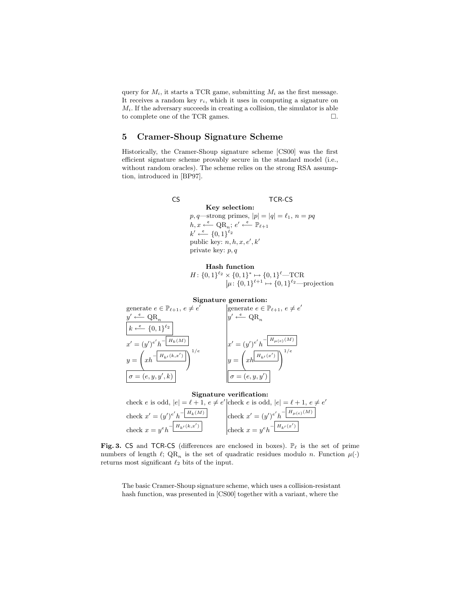query for  $M_i$ , it starts a TCR game, submitting  $M_i$  as the first message. It receives a random key  $r_i$ , which it uses in computing a signature on  $M_i$ . If the adversary succeeds in creating a collision, the simulator is able to complete one of the TCR games.  $\Box$ .

### 5 Cramer-Shoup Signature Scheme

Historically, the Cramer-Shoup signature scheme [CS00] was the first efficient signature scheme provably secure in the standard model (i.e., without random oracles). The scheme relies on the strong RSA assumption, introduced in [BP97].

#### CS TCR-CS

Key selection:  $p, q$ —strong primes,  $|p| = |q| = \ell_1, n = pq$  $h, x \xleftarrow{\epsilon} \mathbf{QR}_n; e' \xleftarrow{\epsilon} \mathbb{P}_{\ell+1}$  $k' \stackrel{\epsilon}{\longleftarrow} \{0,1\}^{\ell_2}$ public key:  $n, h, x, e', k'$ private key: p, q

Hash function  $H: \{0,1\}^{\ell_2} \times \{0,1\}^* \mapsto \{0,1\}^{\ell}$  – TCR  $\mu$ :  $\{0,1\}^{\ell+1} \mapsto \{0,1\}^{\ell_2}$ —projection

### Signature generation:



Signature verification:

$$
\text{check } e \text{ is odd, } |e| = \ell + 1, e \neq e' \text{[check } e \text{ is odd, } |e| = \ell + 1, e \neq e' \text{[check } e \text{ is odd, } |e| = \ell + 1, e \neq e' \text{[check } x' = (y')^{e'} h^{-\boxed{H_k(M)}} \text{[check } x' = (y')^{e'} h^{-\boxed{H_{\mu(e)}(M)}} \text{[check } x = y^e h^{-\boxed{H_{k'}(k, x')}} \text{[check } x = y^e h^{-\boxed{H_{k'}(x')}} \text{]}
$$

Fig. 3. CS and TCR-CS (differences are enclosed in boxes).  $\mathbb{P}_{\ell}$  is the set of prime numbers of length  $\ell$ ; QR<sub>n</sub> is the set of quadratic residues modulo n. Function  $\mu(\cdot)$ returns most significant  $\ell_2$  bits of the input.

The basic Cramer-Shoup signature scheme, which uses a collision-resistant hash function, was presented in [CS00] together with a variant, where the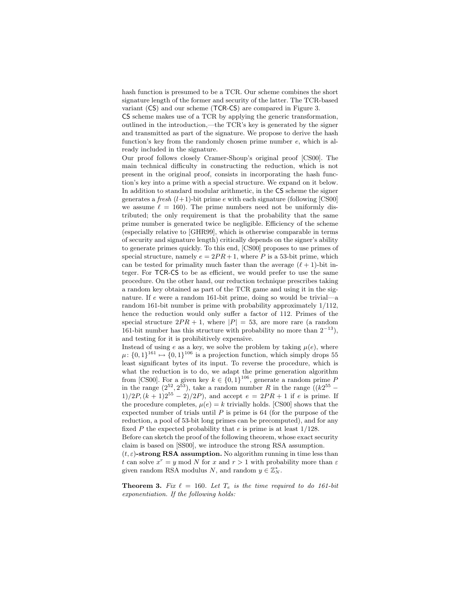hash function is presumed to be a TCR. Our scheme combines the short signature length of the former and security of the latter. The TCR-based variant (CS) and our scheme (TCR-CS) are compared in Figure 3.

CS scheme makes use of a TCR by applying the generic transformation, outlined in the introduction,—the TCR's key is generated by the signer and transmitted as part of the signature. We propose to derive the hash function's key from the randomly chosen prime number e, which is already included in the signature.

Our proof follows closely Cramer-Shoup's original proof [CS00]. The main technical difficulty in constructing the reduction, which is not present in the original proof, consists in incorporating the hash function's key into a prime with a special structure. We expand on it below. In addition to standard modular arithmetic, in the CS scheme the signer generates a fresh  $(l+1)$ -bit prime e with each signature (following [CS00] we assume  $\ell = 160$ . The prime numbers need not be uniformly distributed; the only requirement is that the probability that the same prime number is generated twice be negligible. Efficiency of the scheme (especially relative to [GHR99], which is otherwise comparable in terms of security and signature length) critically depends on the signer's ability to generate primes quickly. To this end, [CS00] proposes to use primes of special structure, namely  $e = 2PR + 1$ , where P is a 53-bit prime, which can be tested for primality much faster than the average  $(\ell + 1)$ -bit integer. For TCR-CS to be as efficient, we would prefer to use the same procedure. On the other hand, our reduction technique prescribes taking a random key obtained as part of the TCR game and using it in the signature. If e were a random 161-bit prime, doing so would be trivial—a random 161-bit number is prime with probability approximately 1/112, hence the reduction would only suffer a factor of 112. Primes of the special structure  $2PR + 1$ , where  $|P| = 53$ , are more rare (a random 161-bit number has this structure with probability no more than  $2^{-13}$ ), and testing for it is prohibitively expensive.

Instead of using e as a key, we solve the problem by taking  $\mu(e)$ , where  $\mu: \{0,1\}^{161} \mapsto \{0,1\}^{106}$  is a projection function, which simply drops 55 least significant bytes of its input. To reverse the procedure, which is what the reduction is to do, we adapt the prime generation algorithm from [CS00]. For a given key  $k \in \{0,1\}^{106}$ , generate a random prime P in the range  $(2^{52}, 2^{53})$ , take a random number R in the range  $((k2^{55} 1)/2P$ ,  $(k + 1)2^{55} - 2)/2P$ , and accept  $e = 2PR + 1$  if e is prime. If the procedure completes,  $\mu(e) = k$  trivially holds. [CS00] shows that the expected number of trials until  $P$  is prime is 64 (for the purpose of the reduction, a pool of 53-bit long primes can be precomputed), and for any fixed P the expected probability that  $e$  is prime is at least  $1/128$ .

Before can sketch the proof of the following theorem, whose exact security claim is based on [SS00], we introduce the strong RSA assumption.

 $(t, \varepsilon)$ -strong RSA assumption. No algorithm running in time less than t can solve  $x^r = y \mod N$  for x and  $r > 1$  with probability more than  $\varepsilon$ given random RSA modulus N, and random  $y \in \mathbb{Z}_N^*$ .

**Theorem 3.** Fix  $\ell = 160$ . Let  $T_e$  is the time required to do 161-bit exponentiation. If the following holds: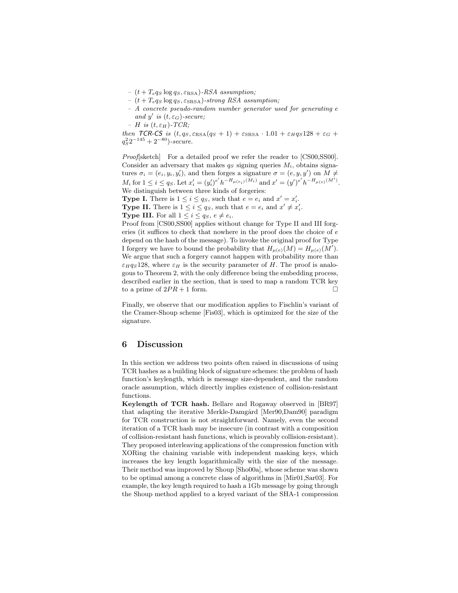- $(t + T_e q_S \log q_S, \varepsilon_{\text{RSA}})$ -RSA assumption;
- $-(t + T_e q_S \log q_S, \varepsilon_{\text{SRSA}})$ -strong RSA assumption;
- A concrete pseudo-random number generator used for generating e and y' is  $(t, \varepsilon_G)$ -secure;

– H is  $(t, \varepsilon_H)$ -TCR;

then TCR-CS is  $(t, q_S, \varepsilon_{\text{RSA}}(q_S + 1) + \varepsilon_{\text{SRSA}} \cdot 1.01 + \varepsilon_H q_S 128 + \varepsilon_G +$  $q_S^2 2^{-145} + 2^{-80}$ )-secure.

Proof.[sketch] For a detailed proof we refer the reader to [CS00,SS00]. Consider an adversary that makes  $q<sub>S</sub>$  signing queries  $M<sub>i</sub>$ , obtains signatures  $\sigma_i = (e_i, y_i, y'_i)$ , and then forges a signature  $\sigma = (e, y, y')$  on  $M \neq$  $M_i$  for  $1 \leq i \leq q_S$ . Let  $x'_i = (y'_i)^{e'} h^{-H_{\mu(e_i)}(M_i)}$  and  $x' = (y')^{e'} h^{-H_{\mu(e)}(M')}$ . We distinguish between three kinds of forgeries:

**Type I.** There is  $1 \leq i \leq q_s$ , such that  $e = e_i$  and  $x' = x'_i$ . **Type II.** There is  $1 \leq i \leq q_S$ , such that  $e = e_i$  and  $x' \neq x'_i$ .

**Type III.** For all  $1 \leq i \leq q_s, e \neq e_i$ .

Proof from [CS00,SS00] applies without change for Type II and III forgeries (it suffices to check that nowhere in the proof does the choice of e depend on the hash of the message). To invoke the original proof for Type I forgery we have to bound the probability that  $H_{\mu(e)}(M) = H_{\mu(e)}(M').$ We argue that such a forgery cannot happen with probability more than  $\varepsilon_H g_S$ 128, where  $\varepsilon_H$  is the security parameter of H. The proof is analogous to Theorem 2, with the only difference being the embedding process, described earlier in the section, that is used to map a random TCR key to a prime of  $2PR + 1$  form.

Finally, we observe that our modification applies to Fischlin's variant of the Cramer-Shoup scheme [Fis03], which is optimized for the size of the signature.

### 6 Discussion

In this section we address two points often raised in discussions of using TCR hashes as a building block of signature schemes: the problem of hash function's keylength, which is message size-dependent, and the random oracle assumption, which directly implies existence of collision-resistant functions.

Keylength of TCR hash. Bellare and Rogaway observed in [BR97] that adapting the iterative Merkle-Damgård [Mer90,Dam90] paradigm for TCR construction is not straightforward. Namely, even the second iteration of a TCR hash may be insecure (in contrast with a composition of collision-resistant hash functions, which is provably collision-resistant). They proposed interleaving applications of the compression function with XORing the chaining variable with independent masking keys, which increases the key length logarithmically with the size of the message. Their method was improved by Shoup [Sho00a], whose scheme was shown to be optimal among a concrete class of algorithms in [Mir01,Sar03]. For example, the key length required to hash a 1Gb message by going through the Shoup method applied to a keyed variant of the SHA-1 compression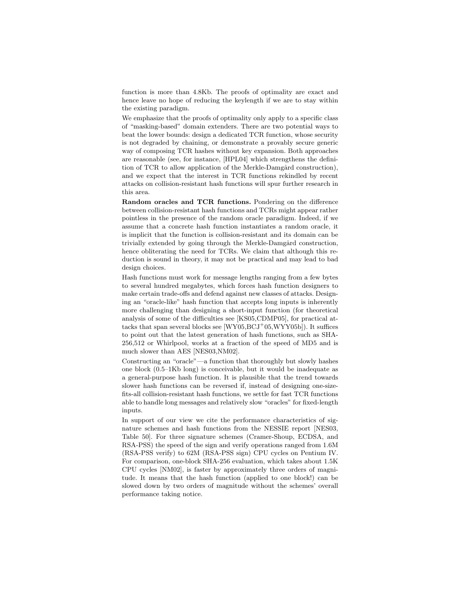function is more than 4.8Kb. The proofs of optimality are exact and hence leave no hope of reducing the keylength if we are to stay within the existing paradigm.

We emphasize that the proofs of optimality only apply to a specific class of "masking-based" domain extenders. There are two potential ways to beat the lower bounds: design a dedicated TCR function, whose security is not degraded by chaining, or demonstrate a provably secure generic way of composing TCR hashes without key expansion. Both approaches are reasonable (see, for instance, [HPL04] which strengthens the definition of TCR to allow application of the Merkle-Damgård construction), and we expect that the interest in TCR functions rekindled by recent attacks on collision-resistant hash functions will spur further research in this area.

Random oracles and TCR functions. Pondering on the difference between collision-resistant hash functions and TCRs might appear rather pointless in the presence of the random oracle paradigm. Indeed, if we assume that a concrete hash function instantiates a random oracle, it is implicit that the function is collision-resistant and its domain can be trivially extended by going through the Merkle-Damgård construction, hence obliterating the need for TCRs. We claim that although this reduction is sound in theory, it may not be practical and may lead to bad design choices.

Hash functions must work for message lengths ranging from a few bytes to several hundred megabytes, which forces hash function designers to make certain trade-offs and defend against new classes of attacks. Designing an "oracle-like" hash function that accepts long inputs is inherently more challenging than designing a short-input function (for theoretical analysis of some of the difficulties see [KS05,CDMP05], for practical attacks that span several blocks see  $[WY05, BCJ^+05, WYY05b]$ . It suffices to point out that the latest generation of hash functions, such as SHA-256,512 or Whirlpool, works at a fraction of the speed of MD5 and is much slower than AES [NES03,NM02].

Constructing an "oracle"—a function that thoroughly but slowly hashes one block (0.5–1Kb long) is conceivable, but it would be inadequate as a general-purpose hash function. It is plausible that the trend towards slower hash functions can be reversed if, instead of designing one-sizefits-all collision-resistant hash functions, we settle for fast TCR functions able to handle long messages and relatively slow "oracles" for fixed-length inputs.

In support of our view we cite the performance characteristics of signature schemes and hash functions from the NESSIE report [NES03, Table 50]. For three signature schemes (Cramer-Shoup, ECDSA, and RSA-PSS) the speed of the sign and verify operations ranged from 1.6M (RSA-PSS verify) to 62M (RSA-PSS sign) CPU cycles on Pentium IV. For comparison, one-block SHA-256 evaluation, which takes about 1.5K CPU cycles [NM02], is faster by approximately three orders of magnitude. It means that the hash function (applied to one block!) can be slowed down by two orders of magnitude without the schemes' overall performance taking notice.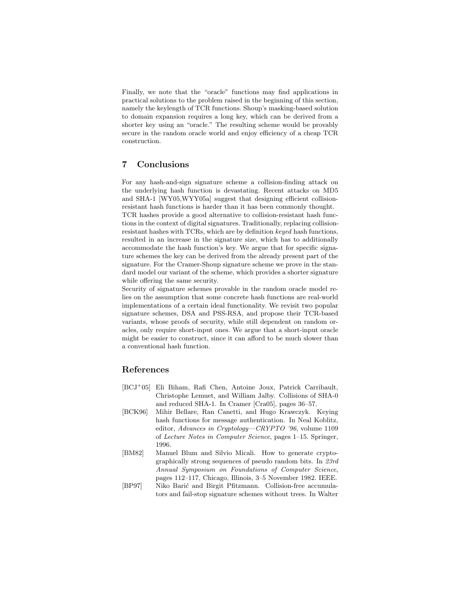Finally, we note that the "oracle" functions may find applications in practical solutions to the problem raised in the beginning of this section, namely the keylength of TCR functions. Shoup's masking-based solution to domain expansion requires a long key, which can be derived from a shorter key using an "oracle." The resulting scheme would be provably secure in the random oracle world and enjoy efficiency of a cheap TCR construction.

### 7 Conclusions

For any hash-and-sign signature scheme a collision-finding attack on the underlying hash function is devastating. Recent attacks on MD5 and SHA-1 [WY05,WYY05a] suggest that designing efficient collisionresistant hash functions is harder than it has been commonly thought. TCR hashes provide a good alternative to collision-resistant hash functions in the context of digital signatures. Traditionally, replacing collisionresistant hashes with TCRs, which are by definition keyed hash functions, resulted in an increase in the signature size, which has to additionally accommodate the hash function's key. We argue that for specific signature schemes the key can be derived from the already present part of the signature. For the Cramer-Shoup signature scheme we prove in the standard model our variant of the scheme, which provides a shorter signature while offering the same security.

Security of signature schemes provable in the random oracle model relies on the assumption that some concrete hash functions are real-world implementations of a certain ideal functionality. We revisit two popular signature schemes, DSA and PSS-RSA, and propose their TCR-based variants, whose proofs of security, while still dependent on random oracles, only require short-input ones. We argue that a short-input oracle might be easier to construct, since it can afford to be much slower than a conventional hash function.

### References

- [BCJ<sup>+</sup>05] Eli Biham, Rafi Chen, Antoine Joux, Patrick Carribault, Christophe Lemuet, and William Jalby. Collisions of SHA-0 and reduced SHA-1. In Cramer [Cra05], pages 36–57.
- [BCK96] Mihir Bellare, Ran Canetti, and Hugo Krawczyk. Keying hash functions for message authentication. In Neal Koblitz, editor, Advances in Cryptology—CRYPTO '96, volume 1109 of Lecture Notes in Computer Science, pages 1–15. Springer, 1996.
- [BM82] Manuel Blum and Silvio Micali. How to generate cryptographically strong sequences of pseudo random bits. In 23rd Annual Symposium on Foundations of Computer Science, pages 112–117, Chicago, Illinois, 3–5 November 1982. IEEE.
- [BP97] Niko Barić and Birgit Pfitzmann. Collision-free accumulators and fail-stop signature schemes without trees. In Walter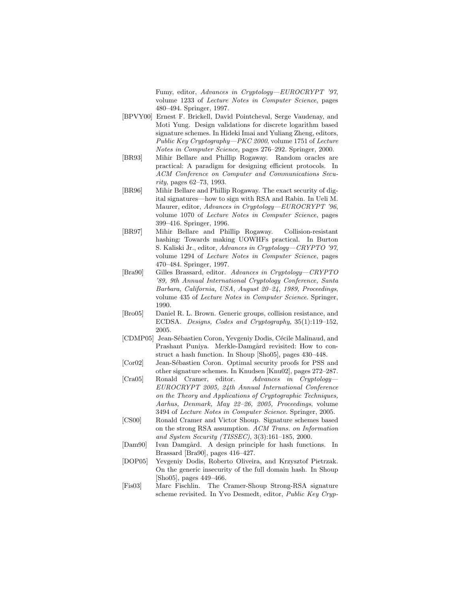Fumy, editor, Advances in Cryptology—EUROCRYPT '97, volume 1233 of Lecture Notes in Computer Science, pages 480–494. Springer, 1997.

- [BPVY00] Ernest F. Brickell, David Pointcheval, Serge Vaudenay, and Moti Yung. Design validations for discrete logarithm based signature schemes. In Hideki Imai and Yuliang Zheng, editors, Public Key Cryptography—PKC 2000, volume 1751 of Lecture Notes in Computer Science, pages 276–292. Springer, 2000.
- [BR93] Mihir Bellare and Phillip Rogaway. Random oracles are practical: A paradigm for designing efficient protocols. In ACM Conference on Computer and Communications Security, pages 62–73, 1993.
- [BR96] Mihir Bellare and Phillip Rogaway. The exact security of digital signatures—how to sign with RSA and Rabin. In Ueli M. Maurer, editor, Advances in Cryptology—EUROCRYPT '96, volume 1070 of Lecture Notes in Computer Science, pages 399–416. Springer, 1996.
- [BR97] Mihir Bellare and Phillip Rogaway. Collision-resistant hashing: Towards making UOWHFs practical. In Burton S. Kaliski Jr., editor, Advances in Cryptology—CRYPTO '97, volume 1294 of Lecture Notes in Computer Science, pages 470–484. Springer, 1997.
- [Bra90] Gilles Brassard, editor. Advances in Cryptology—CRYPTO '89, 9th Annual International Cryptology Conference, Santa Barbara, California, USA, August 20–24, 1989, Proceedings, volume 435 of Lecture Notes in Computer Science. Springer, 1990.
- [Bro05] Daniel R. L. Brown. Generic groups, collision resistance, and ECDSA. Designs, Codes and Cryptography, 35(1):119–152, 2005.
- [CDMP05] Jean-Sébastien Coron, Yevgeniy Dodis, Cécile Malinaud, and Prashant Puniya. Merkle-Damgård revisited: How to construct a hash function. In Shoup [Sho05], pages 430–448.
- [Cor02] Jean-Sébastien Coron. Optimal security proofs for PSS and other signature schemes. In Knudsen [Knu02], pages 272–287.
- [Cra05] Ronald Cramer, editor. Advances in Cryptology-EUROCRYPT 2005, 24th Annual International Conference on the Theory and Applications of Cryptographic Techniques, Aarhus, Denmark, May 22–26, 2005, Proceedings, volume 3494 of Lecture Notes in Computer Science. Springer, 2005.
- [CS00] Ronald Cramer and Victor Shoup. Signature schemes based on the strong RSA assumption. ACM Trans. on Information and System Security (TISSEC), 3(3):161–185, 2000.
- [Dam90] Ivan Damgård. A design principle for hash functions. In Brassard [Bra90], pages 416–427.
- [DOP05] Yevgeniy Dodis, Roberto Oliveira, and Krzysztof Pietrzak. On the generic insecurity of the full domain hash. In Shoup [Sho05], pages 449–466.
- [Fis03] Marc Fischlin. The Cramer-Shoup Strong-RSA signature scheme revisited. In Yvo Desmedt, editor, Public Key Cryp-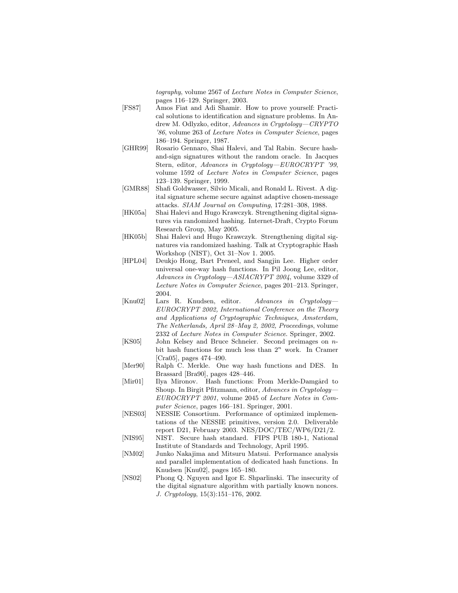tography, volume 2567 of Lecture Notes in Computer Science, pages 116–129. Springer, 2003.

- [FS87] Amos Fiat and Adi Shamir. How to prove yourself: Practical solutions to identification and signature problems. In Andrew M. Odlyzko, editor, Advances in Cryptology—CRYPTO '86, volume 263 of Lecture Notes in Computer Science, pages 186–194. Springer, 1987.
- [GHR99] Rosario Gennaro, Shai Halevi, and Tal Rabin. Secure hashand-sign signatures without the random oracle. In Jacques Stern, editor, Advances in Cryptology—EUROCRYPT '99, volume 1592 of Lecture Notes in Computer Science, pages 123–139. Springer, 1999.
- [GMR88] Shafi Goldwasser, Silvio Micali, and Ronald L. Rivest. A digital signature scheme secure against adaptive chosen-message attacks. SIAM Journal on Computing, 17:281–308, 1988.
- [HK05a] Shai Halevi and Hugo Krawczyk. Strengthening digital signatures via randomized hashing. Internet-Draft, Crypto Forum Research Group, May 2005.
- [HK05b] Shai Halevi and Hugo Krawczyk. Strengthening digital signatures via randomized hashing. Talk at Cryptographic Hash Workshop (NIST), Oct 31–Nov 1. 2005.
- [HPL04] Deukjo Hong, Bart Preneel, and Sangjin Lee. Higher order universal one-way hash functions. In Pil Joong Lee, editor, Advances in Cryptology—ASIACRYPT 2004, volume 3329 of Lecture Notes in Computer Science, pages 201–213. Springer, 2004.
- [Knu02] Lars R. Knudsen, editor. Advances in Cryptology— EUROCRYPT 2002, International Conference on the Theory and Applications of Cryptographic Techniques, Amsterdam, The Netherlands, April 28–May 2, 2002, Proceedings, volume 2332 of Lecture Notes in Computer Science. Springer, 2002.
- [KS05] John Kelsey and Bruce Schneier. Second preimages on nbit hash functions for much less than  $2<sup>n</sup>$  work. In Cramer [Cra05], pages 474–490.
- [Mer90] Ralph C. Merkle. One way hash functions and DES. In Brassard [Bra90], pages 428–446.
- [Mir01] Ilya Mironov. Hash functions: From Merkle-Damgård to Shoup. In Birgit Pfitzmann, editor, Advances in Cryptology— EUROCRYPT 2001, volume 2045 of Lecture Notes in Computer Science, pages 166–181. Springer, 2001.
- [NES03] NESSIE Consortium. Performance of optimized implementations of the NESSIE primitives, version 2.0. Deliverable report D21, February 2003. NES/DOC/TEC/WP6/D21/2.
- [NIS95] NIST. Secure hash standard. FIPS PUB 180-1, National Institute of Standards and Technology, April 1995.
- [NM02] Junko Nakajima and Mitsuru Matsui. Performance analysis and parallel implementation of dedicated hash functions. In Knudsen [Knu02], pages 165–180.
- [NS02] Phong Q. Nguyen and Igor E. Shparlinski. The insecurity of the digital signature algorithm with partially known nonces. J. Cryptology, 15(3):151–176, 2002.